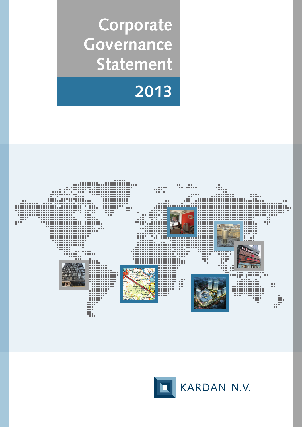**Corporate Governance Statement**

**2013**



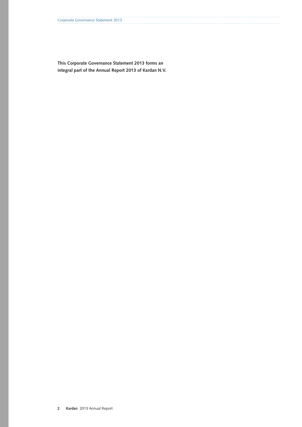**This Corporate Governance Statement 2013 forms an integral part of the Annual Report 2013 of Kardan N.V.**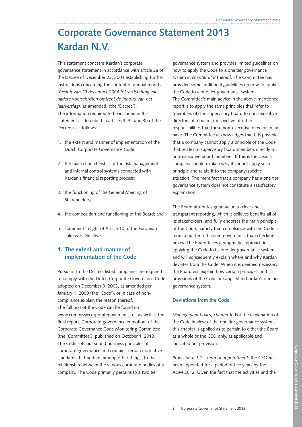# **Corporate Governance Statement 2013 Kardan N.V.**

This statement concerns Kardan's corporate governance statement in accordance with article 2a of the Decree of December 23, 2004 establishing further instructions concerning the content of annual reports *(Besluit van 23 december 2004 tot vaststelling van nadere voorschriften omtrent de inhoud van het jaarverslag)*, as amended, (the 'Decree'). The information required to be included in this statement as described in articles 3, 3a and 3b of the Decree is as follows:

- 1. the extent and manner of implementation of the Dutch Corporate Governance Code;
- 2. the main characteristics of the risk management and internal control systems connected with Kardan's financial reporting process;
- 3. the functioning of the General Meeting of Shareholders;
- 4. the composition and functioning of the Board; and
- 5. statement in light of Article 10 of the European Takeover Directive.

# **1. The extent and manner of implementation of the Code**

Pursuant to the Decree, listed companies are required to comply with the Dutch Corporate Governance Code adopted on December 9, 2003, as amended per January 1, 2009 (the 'Code'), or in case of noncompliance explain the reason thereof. The full text of the Code can be found on [www.commissiecorporategovernance.nl](http://www.commissiecorporategovernance.nl), as well as the final report 'Corporate governance in motion' of the Corporate Governance Code Monitoring Committee (the 'Committee'), published on October 1, 2013. The Code sets out sound business principles of corporate governance and contains certain normative standards that pertain, among other things, to the relationship between the various corporate bodies of a company. The Code primarily pertains to a two tier

governance system and provides limited guidelines on how to apply the Code to a one tier governance system in *chapter III.8* thereof. The Committee has provided some additional guidelines on how to apply the Code to a one tier governance system. The Committee's main advice in the above-mentioned report is to apply the same principles that refer to (members of) the supervisory board to non-executive directors of a board, irrespective of other responsibilities that these non-executive directors may have. The Committee acknowledges that it is possible that a company cannot apply a principle of the Code that relates to supervisory board members directly to non-executive board members. If this is the case, a company should explain why it cannot apply such principle and relate it to the company-specific situation. The mere fact that a company has a one tier governance system does not constitute a satisfactory explanation.

The Board attributes great value to clear and transparent reporting, which it believes benefits all of its stakeholders, and fully endorses the main principle of the Code, namely that compliance with the Code is more a matter of tailored governance than checking boxes. The Board takes a pragmatic approach in applying the Code to its one tier governance system and will consequently explain where and why Kardan deviates from the Code. When it is deemed necessary, the Board will explain how certain principles and provisions of the Code are applied to Kardan's one tier governance system.

## **Deviations from the Code**

*Management board, chapter II:* For the explanation of the Code in view of the one tier governance system, this chapter is applied as to pertain to either the Board as a whole or the CEO only, as applicable and indicated per provision.

*Provision II.1.1 – term of appointment:* the CEO has been appointed for a period of five years by the AGM 2012. Given the fact that the activities and the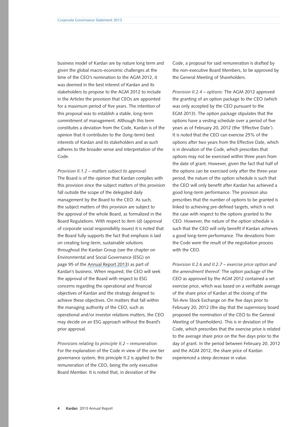business model of Kardan are by nature long term and given the global macro-economic challenges at the time of the CEO's nomination to the AGM 2012, it was deemed in the best interest of Kardan and its stakeholders to propose to the AGM 2012 to include in the Articles the provision that CEOs are appointed for a maximum period of five years. The intention of this proposal was to establish a stable, long-term commitment of management. Although this term constitutes a deviation from the Code, Kardan is of the opinion that it contributes to the (long-term) best interests of Kardan and its stakeholders and as such adheres to the broader sense and interpretation of the Code.

*Provision II.1.2 – matters subject to approval:* The Board is of the opinion that Kardan complies with this provision since the subject matters of this provision fall outside the scope of the delegated daily management by the Board to the CEO. As such, the subject matters of this provision are subject to the approval of the whole Board, as formalized in the Board Regulations. With respect to item (d) (approval of corporate social responsibility issues) it is noted that the Board fully supports the fact that emphasis is laid on creating long-term, sustainable solutions throughout the Kardan Group (see the chapter on Environmental and Social Governance (ESG) on page 95 of the [Annual Report 2013](http://phx.corporate-ir.net/External.File?item=UGFyZW50SUQ9MjI4NzM5fENoaWxkSUQ9LTF8VHlwZT0z&t=1)) as part of Kardan's business. When required, the CEO will seek the approval of the Board with respect to ESG concerns regarding the operational and financial objectives of Kardan and the strategy designed to achieve these objectives. On matters that fall within the managing authority of the CEO, such as operational and/or investor relations matters, the CEO may decide on an ESG approach without the Board's prior approval.

*Provisions relating to principle II.2 – remuneration:* For the explanation of the Code in view of the one tier governance system, this principle II.2 is applied to the remuneration of the CEO, being the only executive Board Member. It is noted that, in deviation of the

Code, a proposal for said remuneration is drafted by the non-executive Board Members, to be approved by the General Meeting of Shareholders.

*Provision II.2.4 – options:* The AGM 2012 approved the granting of an option package to the CEO (which was only accepted by the CEO pursuant to the EGM 2013). The option package stipulates that the options have a vesting schedule over a period of five years as of February 20, 2012 (the 'Effective Date'). It is noted that the CEO can exercise 25% of the options after two years from the Effective Date, which is in deviation of the Code, which prescribes that options may not be exercised within three years from the date of grant. However, given the fact that half of the options can be exercised only after the three-year period, the nature of the option schedule is such that the CEO will only benefit after Kardan has achieved a good long-term performance. The provision also prescribes that the number of options to be granted is linked to achieving pre-defined targets, which is not the case with respect to the options granted to the CEO. However, the nature of the option schedule is such that the CEO will only benefit if Kardan achieves a good long-term performance. The deviations from the Code were the result of the negotiation process with the CEO.

*Provision II.2.6 and II.2.7 – exercise price option and the amendment thereof:* The option package of the CEO as approved by the AGM 2012 contained a set exercise price, which was based on a verifiable average of the share price of Kardan at the closing of the Tel-Aviv Stock Exchange on the five days prior to February 20, 2012 (the day that the supervisory board proposed the nomination of the CEO to the General Meeting of Shareholders). This is in deviation of the Code, which prescribes that the exercise price is related to the average share price on the five days prior to the day of grant. In the period between February 20, 2012 and the AGM 2012, the share price of Kardan experienced a steep decrease in value.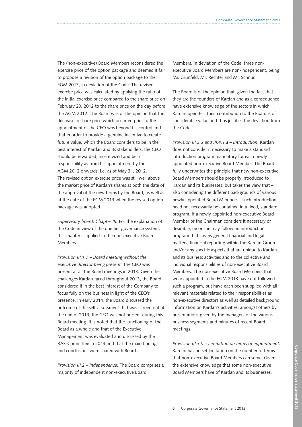The (non-executive) Board Members reconsidered the exercise price of the option package and deemed it fair to propose a revision of the option package to the EGM 2013, in deviation of the Code. The revised exercise price was calculated by applying the ratio of the initial exercise price compared to the share price on February 20, 2012 to the share price on the day before the AGM 2012. The Board was of the opinion that the decrease in share price which occurred prior to the appointment of the CEO was beyond his control and that in order to provide a genuine incentive to create future value, which the Board considers to be in the best interest of Kardan and its stakeholders, the CEO should be rewarded, incentivized and bear responsibility as from his appointment by the AGM 2012 onwards, i.e. as of May 31, 2012. The revised option exercise price was still well above the market price of Kardan's shares at both the date of the approval of the new terms by the Board, as well as at the date of the EGM 2013 when the revised option package was adopted.

*Supervisory board, Chapter III:* For the explanation of the Code in view of the one tier governance system, this chapter is applied to the non-executive Board Members.

*Provision III.1.7 – Board meeting without the executive director being present:* The CEO was present at all the Board meetings in 2013. Given the challenges Kardan faced throughout 2013, the Board considered it in the best interest of the Company to focus fully on the business in light of the CEO's presence. In early 2014, the Board discussed the outcome of the self-assessment that was carried out at the end of 2013; the CEO was not present during this Board meeting. It is noted that the functioning of the Board as a whole and that of the Executive Management was evaluated and discussed by the RAS-Committee in 2013 and that the main findings and conclusions were shared with Board.

*Provision III.2 – Independence:* The Board comprises a majority of independent non-executive Board

Members. In deviation of the Code, three nonexecutive Board Members are non-independent, being Mr. Grunfeld, Mr. Rechter and Mr. Schnur.

The Board is of the opinion that, given the fact that they are the founders of Kardan and as a consequence have extensive knowledge of the sectors in which Kardan operates, their contribution to the Board is of considerable value and thus justifies the deviation from the Code.

*Provision III.3.3 and III.4.1.a – Introduction:* Kardan does not consider it necessary to make a standard introduction program mandatory for each newly appointed non-executive Board Member. The Board fully underwrites the principle that new non-executive Board Members should be properly introduced to Kardan and its businesses, but takes the view that – also considering the different backgrounds of various newly appointed Board Members – such introduction need not necessarily be contained in a fixed, standard, program. If a newly appointed non-executive Board Member or the Chairman considers it necessary or desirable, he or she may follow an introduction program that covers general financial and legal matters, financial reporting within the Kardan Group and/or any specific aspects that are unique to Kardan and its business activities and to the collective and individual responsibilities of non-executive Board Members. The non-executive Board Members that were appointed in the EGM 2013 have not followed such a program, but have each been supplied with all relevant materials related to their responsibilities as non-executive directors as well as detailed background information on Kardan's activities, amongst others by presentations given by the managers of the various business segments and minutes of recent Board meetings.

*Provision III.3.5 – Limitation on terms of appointment:*  Kardan has no set limitation on the number of terms that non-executive Board Members can serve. Given the extensive knowledge that some non-executive Board Members have of Kardan and its businesses,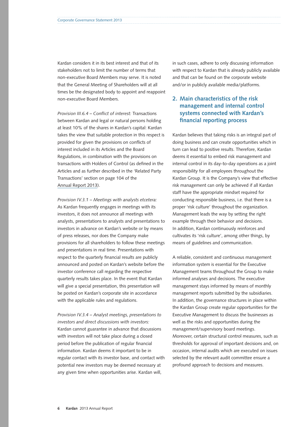Kardan considers it in its best interest and that of its stakeholders not to limit the number of terms that non-executive Board Members may serve. It is noted that the General Meeting of Shareholders will at all times be the designated body to appoint and reappoint non-executive Board Members.

*Provision III.6.4 – Conflict of interest:* Transactions between Kardan and legal or natural persons holding at least 10% of the shares in Kardan's capital: Kardan takes the view that suitable protection in this respect is provided for given the provisions on conflicts of interest included in its Articles and the Board Regulations, in combination with the provisions on transactions with Holders of Control (as defined in the Articles and as further described in the 'Related Party Transactions' section on page 104 of the Annual [Report 2013\)](http://phx.corporate-ir.net/External.File?item=UGFyZW50SUQ9MjI4NzM5fENoaWxkSUQ9LTF8VHlwZT0z&t=1).

*Provision IV.3.1 – Meetings with analysts etcetera:* As Kardan frequently engages in meetings with its investors, it does not announce all meetings with analysts, presentations to analysts and presentations to investors in advance on Kardan's website or by means of press releases, nor does the Company make provisions for all shareholders to follow these meetings and presentations in real time. Presentations with respect to the quarterly financial results are publicly announced and posted on Kardan's website before the investor conference call regarding the respective quarterly results takes place. In the event that Kardan will give a special presentation, this presentation will be posted on Kardan's corporate site in accordance with the applicable rules and regulations.

*Provision IV.3.4 – Analyst meetings, presentations to investors and direct discussions with investors:* Kardan cannot guarantee in advance that discussions with investors will not take place during a closed period before the publication of regular financial information. Kardan deems it important to be in regular contact with its investor base, and contact with potential new investors may be deemed necessary at any given time when opportunities arise. Kardan will,

in such cases, adhere to only discussing information with respect to Kardan that is already publicly available and that can be found on the corporate website and/or in publicly available media/platforms.

# **2. Main characteristics of the risk management and internal control systems connected with Kardan's financial reporting process**

Kardan believes that taking risks is an integral part of doing business and can create opportunities which in turn can lead to positive results. Therefore, Kardan deems it essential to embed risk management and internal control in its day-to-day operations as a joint responsibility for all employees throughout the Kardan Group. It is the Company's view that effective risk management can only be achieved if all Kardan staff have the appropriate mindset required for conducting responsible business, i.e. that there is a proper 'risk culture' throughout the organization. Management leads the way by setting the right example through their behavior and decisions. In addition, Kardan continuously reinforces and cultivates its 'risk culture', among other things, by means of guidelines and communication.

A reliable, consistent and continuous management information system is essential for the Executive Management teams throughout the Group to make informed analyses and decisions. The executive management stays informed by means of monthly management reports submitted by the subsidiaries. In addition, the governance structures in place within the Kardan Group create regular opportunities for the Executive Management to discuss the businesses as well as the risks and opportunities during the management/supervisory board meetings. Moreover, certain structural control measures, such as thresholds for approval of important decisions and, on occasion, internal audits which are executed on issues selected by the relevant audit committee ensure a profound approach to decisions and measures.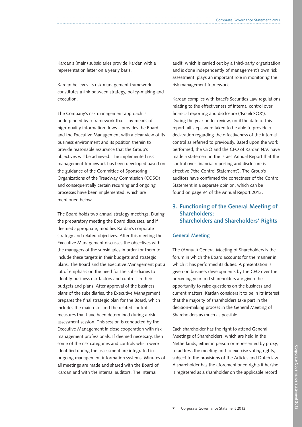Kardan's (main) subsidiaries provide Kardan with a representation letter on a yearly basis.

Kardan believes its risk management framework constitutes a link between strategy, policy-making and execution.

The Company's risk management approach is underpinned by a framework that – by means of high-quality information flows – provides the Board and the Executive Management with a clear view of its business environment and its position therein to provide reasonable assurance that the Group's objectives will be achieved. The implemented risk management framework has been developed based on the guidance of the Committee of Sponsoring Organizations of the Treadway Commission (COSO) and consequentially certain recurring and ongoing processes have been implemented, which are mentioned below.

The Board holds two annual strategy meetings. During the preparatory meeting the Board discusses, and if deemed appropriate, modifies Kardan's corporate strategy and related objectives. After this meeting the Executive Management discusses the objectives with the managers of the subsidiaries in order for them to include these targets in their budgets and strategic plans. The Board and the Executive Management put a lot of emphasis on the need for the subsidiaries to identify business risk factors and controls in their budgets and plans. After approval of the business plans of the subsidiaries, the Executive Management prepares the final strategic plan for the Board, which includes the main risks and the related control measures that have been determined during a risk assessment session. This session is conducted by the Executive Management in close cooperation with risk management professionals. If deemed necessary, then some of the risk categories and controls which were identified during the assessment are integrated in ongoing management information systems. Minutes of all meetings are made and shared with the Board of Kardan and with the internal auditors. The internal

audit, which is carried out by a third-party organization and is done independently of management's own risk assessment, plays an important role in monitoring the risk management framework.

Kardan complies with Israel's Securities Law regulations relating to the effectiveness of internal control over financial reporting and disclosure ('Israeli SOX'). During the year under review, until the date of this report, all steps were taken to be able to provide a declaration regarding the effectiveness of the internal control as referred to previously. Based upon the work performed, the CEO and the CFO of Kardan N.V. have made a statement in the Israeli Annual Report that the control over financial reporting and disclosure is effective ('the Control Statement'). The Group's auditors have confirmed the correctness of the Control Statement in a separate opinion, which can be found on page 94 of the [Annual Report 2013](http://phx.corporate-ir.net/External.File?item=UGFyZW50SUQ9MjI4NzM5fENoaWxkSUQ9LTF8VHlwZT0z&t=1).

## **3. Functioning of the General Meeting of Shareholders: Shareholders and Shareholders' Rights**

## **General Meeting**

The (Annual) General Meeting of Shareholders is the forum in which the Board accounts for the manner in which it has performed its duties. A presentation is given on business developments by the CEO over the preceding year and shareholders are given the opportunity to raise questions on the business and current matters. Kardan considers it to be in its interest that the majority of shareholders take part in the decision-making process in the General Meeting of Shareholders as much as possible.

Each shareholder has the right to attend General Meetings of Shareholders, which are held in the Netherlands, either in person or represented by proxy, to address the meeting and to exercise voting rights, subject to the provisions of the Articles and Dutch law. A shareholder has the aforementioned rights if he/she is registered as a shareholder on the applicable record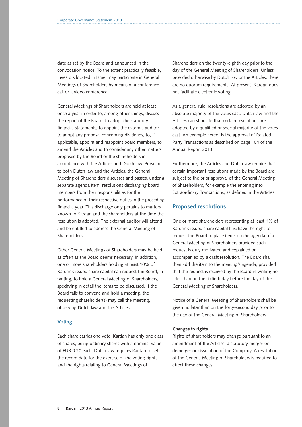date as set by the Board and announced in the convocation notice. To the extent practically feasible, investors located in Israel may participate in General Meetings of Shareholders by means of a conference call or a video conference.

General Meetings of Shareholders are held at least once a year in order to, among other things, discuss the report of the Board, to adopt the statutory financial statements, to appoint the external auditor, to adopt any proposal concerning dividends, to, if applicable, appoint and reappoint board members, to amend the Articles and to consider any other matters proposed by the Board or the shareholders in accordance with the Articles and Dutch law. Pursuant to both Dutch law and the Articles, the General Meeting of Shareholders discusses and passes, under a separate agenda item, resolutions discharging board members from their responsibilities for the performance of their respective duties in the preceding financial year. This discharge only pertains to matters known to Kardan and the shareholders at the time the resolution is adopted. The external auditor will attend and be entitled to address the General Meeting of Shareholders.

Other General Meetings of Shareholders may be held as often as the Board deems necessary. In addition, one or more shareholders holding at least 10% of Kardan's issued share capital can request the Board, in writing, to hold a General Meeting of Shareholders, specifying in detail the items to be discussed. If the Board fails to convene and hold a meeting, the requesting shareholder(s) may call the meeting, observing Dutch law and the Articles.

## **Voting**

Each share carries one vote. Kardan has only one class of shares, being ordinary shares with a nominal value of EUR 0.20 each. Dutch law requires Kardan to set the record date for the exercise of the voting rights and the rights relating to General Meetings of

Shareholders on the twenty-eighth day prior to the day of the General Meeting of Shareholders. Unless provided otherwise by Dutch law or the Articles, there are no quorum requirements. At present, Kardan does not facilitate electronic voting.

As a general rule, resolutions are adopted by an absolute majority of the votes cast. Dutch law and the Articles can stipulate that certain resolutions are adopted by a qualified or special majority of the votes cast. An example hereof is the approval of Related Party Transactions as described on page 104 of the [Annual Report 2013.](http://phx.corporate-ir.net/External.File?item=UGFyZW50SUQ9MjI4NzM5fENoaWxkSUQ9LTF8VHlwZT0z&t=1)

Furthermore, the Articles and Dutch law require that certain important resolutions made by the Board are subject to the prior approval of the General Meeting of Shareholders, for example the entering into Extraordinary Transactions, as defined in the Articles.

## **Proposed resolutions**

One or more shareholders representing at least 1% of Kardan's issued share capital has/have the right to request the Board to place items on the agenda of a General Meeting of Shareholders provided such request is duly motivated and explained or accompanied by a draft resolution. The Board shall then add the item to the meeting's agenda, provided that the request is received by the Board in writing no later than on the sixtieth day before the day of the General Meeting of Shareholders.

Notice of a General Meeting of Shareholders shall be given no later than on the forty-second day prior to the day of the General Meeting of Shareholders.

#### **Changes to rights**

Rights of shareholders may change pursuant to an amendment of the Articles, a statutory merger or demerger or dissolution of the Company. A resolution of the General Meeting of Shareholders is required to effect these changes.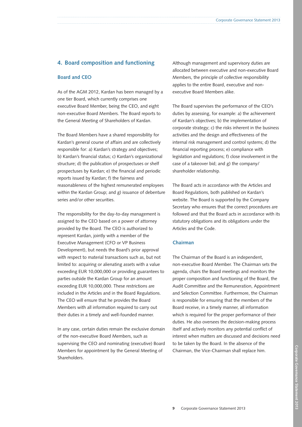## **4. Board composition and functioning**

## **Board and CEO**

As of the AGM 2012, Kardan has been managed by a one tier Board, which currently comprises one executive Board Member, being the CEO, and eight non-executive Board Members. The Board reports to the General Meeting of Shareholders of Kardan.

The Board Members have a shared responsibility for Kardan's general course of affairs and are collectively responsible for: a) Kardan's strategy and objectives; b) Kardan's financial status; c) Kardan's organizational structure; d) the publication of prospectuses or shelf prospectuses by Kardan; e) the financial and periodic reports issued by Kardan; f) the fairness and reasonableness of the highest remunerated employees within the Kardan Group; and g) issuance of debenture series and/or other securities.

The responsibility for the day-to-day management is assigned to the CEO based on a power of attorney provided by the Board. The CEO is authorized to represent Kardan, jointly with a member of the Executive Management (CFO or VP Business Development), but needs the Board's prior approval with respect to material transactions such as, but not limited to: acquiring or alienating assets with a value exceeding EUR 10,000,000 or providing guarantees to parties outside the Kardan Group for an amount exceeding EUR 10,000,000. These restrictions are included in the Articles and in the Board Regulations. The CEO will ensure that he provides the Board Members with all information required to carry out their duties in a timely and well-founded manner.

In any case, certain duties remain the exclusive domain of the non-executive Board Members, such as supervising the CEO and nominating (executive) Board Members for appointment by the General Meeting of Shareholders.

Although management and supervisory duties are allocated between executive and non-executive Board Members, the principle of collective responsibility applies to the entire Board, executive and nonexecutive Board Members alike.

The Board supervises the performance of the CEO's duties by assessing, for example: a) the achievement of Kardan's objectives; b) the implementation of corporate strategy; c) the risks inherent in the business activities and the design and effectiveness of the internal risk management and control systems; d) the financial reporting process; e) compliance with legislation and regulations; f) close involvement in the case of a takeover bid; and g) the company/ shareholder relationship.

The Board acts in accordance with the Articles and Board Regulations, both published on Kardan's website. The Board is supported by the Company Secretary who ensures that the correct procedures are followed and that the Board acts in accordance with its statutory obligations and its obligations under the Articles and the Code.

## **Chairman**

The Chairman of the Board is an independent, non-executive Board Member. The Chairman sets the agenda, chairs the Board meetings and monitors the proper composition and functioning of the Board, the Audit Committee and the Remuneration, Appointment and Selection Committee. Furthermore, the Chairman is responsible for ensuring that the members of the Board receive, in a timely manner, all information which is required for the proper performance of their duties. He also oversees the decision-making process itself and actively monitors any potential conflict of interest when matters are discussed and decisions need to be taken by the Board. In the absence of the Chairman, the Vice-Chairman shall replace him.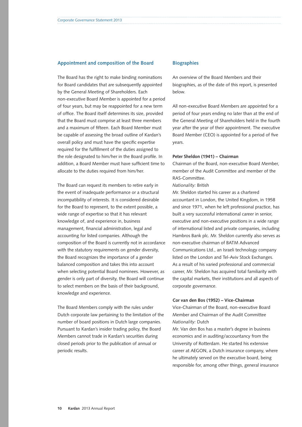#### **Appointment and composition of the Board**

The Board has the right to make binding nominations for Board candidates that are subsequently appointed by the General Meeting of Shareholders. Each non-executive Board Member is appointed for a period of four years, but may be reappointed for a new term of office. The Board itself determines its size, provided that the Board must comprise at least three members and a maximum of fifteen. Each Board Member must be capable of assessing the broad outline of Kardan's overall policy and must have the specific expertise required for the fulfillment of the duties assigned to the role designated to him/her in the Board profile. In addition, a Board Member must have sufficient time to allocate to the duties required from him/her.

The Board can request its members to retire early in the event of inadequate performance or a structural incompatibility of interests. It is considered desirable for the Board to represent, to the extent possible, a wide range of expertise so that it has relevant knowledge of, and experience in, business management, financial administration, legal and accounting for listed companies. Although the composition of the Board is currently not in accordance with the statutory requirements on gender diversity, the Board recognizes the importance of a gender balanced composition and takes this into account when selecting potential Board nominees. However, as gender is only part of diversity, the Board will continue to select members on the basis of their background, knowledge and experience.

The Board Members comply with the rules under Dutch corporate law pertaining to the limitation of the number of board positions in Dutch large companies. Pursuant to Kardan's insider trading policy, the Board Members cannot trade in Kardan's securities during closed periods prior to the publication of annual or periodic results.

#### **Biographies**

An overview of the Board Members and their biographies, as of the date of this report, is presented below.

All non-executive Board Members are appointed for a period of four years ending no later than at the end of the General Meeting of Shareholders held in the fourth year after the year of their appointment. The executive Board Member (CEO) is appointed for a period of five years.

#### **Peter Sheldon (1941) – Chairman**

Chairman of the Board, non-executive Board Member, member of the Audit Committee and member of the RAS-Committee.

## *Nationality:* British

Mr. Sheldon started his career as a chartered accountant in London, the United Kingdom, in 1958 and since 1971, when he left professional practice, has built a very successful international career in senior, executive and non-executive positions in a wide range of international listed and private companies, including Hambros Bank plc. Mr. Sheldon currently also serves as non-executive chairman of BATM Advanced Communications Ltd., an Israeli technology company listed on the London and Tel-Aviv Stock Exchanges. As a result of his varied professional and commercial career, Mr. Sheldon has acquired total familiarity with the capital markets, their institutions and all aspects of corporate governance.

#### **Cor van den Bos (1952) – Vice-Chairman**

Vice-Chairman of the Board, non-executive Board Member and Chairman of the Audit Committee *Nationality:* Dutch

Mr. Van den Bos has a master's degree in business economics and in auditing/accountancy from the University of Rotterdam. He started his extensive career at AEGON, a Dutch insurance company, where he ultimately served on the executive board, being responsible for, among other things, general insurance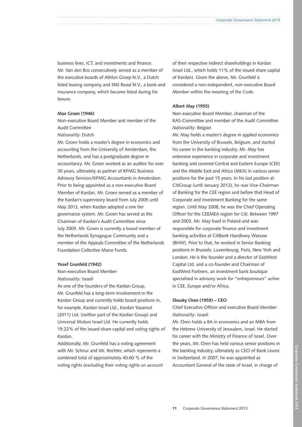business lines, ICT, and investments and finance. Mr. Van den Bos consecutively served as a member of the executive boards of Athlon Groep N.V., a Dutch listed leasing company and SNS Reaal N.V., a bank and insurance company, which became listed during his tenure.

#### **Max Groen (1946)**

Non-executive Board Member and member of the Audit Committee

#### *Nationality:* Dutch

Mr. Groen holds a master's degree in economics and accounting from the University of Amsterdam, the Netherlands, and has a postgraduate degree in accountancy. Mr. Groen worked as an auditor for over 30 years, ultimately as partner of KPMG Business Advisory Services/KPMG Accountants in Amsterdam. Prior to being appointed as a non-executive Board Member of Kardan, Mr. Groen served as a member of the Kardan's supervisory board from July 2005 until May 2012, when Kardan adopted a one tier governance system. Mr. Groen has served as the Chairman of Kardan's Audit Committee since July 2005. Mr. Groen is currently a board member of the Netherlands Synagogue Community and a member of the Appeals Committee of the Netherlands Foundation Collective Maror Funds.

#### **Yosef Grunfeld (1942)**

Non-executive Board Member *Nationality:* Israeli

As one of the founders of the Kardan Group, Mr. Grunfeld has a long-term involvement in the Kardan Group and currently holds board positions in, for example, Kardan Israel Ltd., Kardan Yazamut (2011) Ltd. (neither part of the Kardan Group) and Universal Motors Israel Ltd. He currently holds 19.22% of the issued share capital and voting rights of Kardan.

Additionally, Mr. Grunfeld has a voting agreement with Mr. Schnur and Mr. Rechter, which represents a combined total of approximately 40.60 % of the voting rights (excluding their voting rights on account of their respective indirect shareholdings in Kardan Israel Ltd., which holds 11% of the issued share capital of Kardan). Given the above, Mr. Grunfeld is considered a non-independent, non-executive Board Member within the meaning of the Code.

#### **Albert May (1955)**

Non-executive Board Member, chairman of the RAS-Committee and member of the Audit Committee *Nationality:* Belgian

Mr. May holds a master's degree in applied economics from the University of Brussels, Belgium, and started his career in the banking industry. Mr. May has extensive experience in corporate and investment banking and covered Central and Eastern Europe (CEE) and the Middle East and Africa (MEA) in various senior positions for the past 15 years. In his last position at CitiGroup (until January 2012), he was Vice-Chairman of Banking for the CEE region and before that Head of Corporate and Investment Banking for the same region. Until May 2008, he was the Chief Operating Officer for the CEEMEA region for Citi. Between 1997 and 2003, Mr. May lived in Poland and was responsible for corporate finance and investment banking activities at CitiBank Handlowy Warsaw (BHW). Prior to that, he worked in Senior Banking positions in Brussels, Luxembourg, Paris, New York and London. He is the founder and a director of EastWest Capital Ltd. and a co-founder and Chairman of EastWest Partners, an investment bank boutique specialised in advisory work for "entrepreneurs" active in CEE, Europe and/or Africa.

#### **Shouky Oren (1959) – CEO**

Chief Executive Officer and executive Board Member *Nationality:* Israeli

Mr. Oren holds a BA in economics and an MBA from the Hebrew University of Jerusalem, Israel. He started his career with the Ministry of Finance of Israel. Over the years, Mr. Oren has held various senior positions in the banking industry, ultimately as CEO of Bank Leumi in Switzerland. In 2007, he was appointed as Accountant General of the state of Israel, in charge of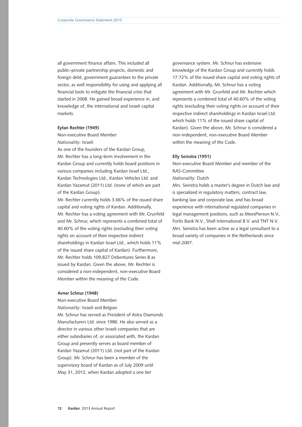all government finance affairs. This included all public–private partnership projects, domestic and foreign debt, government guarantees to the private sector, as well responsibility for using and applying all financial tools to mitigate the financial crisis that started in 2008. He gained broad experience in, and knowledge of, the international and Israeli capital markets.

#### **Eytan Rechter (1949)**

Non-executive Board Member *Nationality:* Israeli

As one of the founders of the Kardan Group, Mr. Rechter has a long-term involvement in the Kardan Group and currently holds board positions in various companies including Kardan Israel Ltd., Kardan Technologies Ltd., Kardan Vehicles Ltd. and Kardan Yazamut (2011) Ltd. (none of which are part of the Kardan Group).

Mr. Rechter currently holds 3.66% of the issued share capital and voting rights of Kardan. Additionally, Mr. Rechter has a voting agreement with Mr. Grunfeld and Mr. Schnur, which represents a combined total of 40.60% of the voting rights (excluding their voting rights on account of their respective indirect shareholdings in Kardan Israel Ltd., which holds 11% of the issued share capital of Kardan). Furthermore, Mr. Rechter holds 109,827 Debentures Series B as issued by Kardan. Given the above, Mr. Rechter is considered a non-independent, non-executive Board Member within the meaning of the Code.

#### **Avner Schnur (1948)**

Non-executive Board Member *Nationality:* Israeli and Belgian Mr. Schnur has served as President of Astra Diamonds Manufacturers Ltd. since 1986. He also served as a director in various other Israeli companies that are either subsidiaries of, or associated with, the Kardan Group and presently serves as board member of Kardan Yazamut (2011) Ltd. (not part of the Kardan Group). Mr. Schnur has been a member of the supervisory board of Kardan as of July 2009 until May 31, 2012, when Kardan adopted a one tier

governance system. Mr. Schnur has extensive knowledge of the Kardan Group and currently holds 17.72% of the issued share capital and voting rights of Kardan. Additionally, Mr. Schnur has a voting agreement with Mr. Grunfeld and Mr. Rechter which represents a combined total of 40.60% of the voting rights (excluding their voting rights on account of their respective indirect shareholdings in Kardan Israel Ltd. which holds 11% of the issued share capital of Kardan). Given the above, Mr. Schnur is considered a non-independent, non-executive Board Member within the meaning of the Code.

#### **Elly Seinstra (1951)**

Non-executive Board Member and member of the RAS-Committee

#### *Nationality:* Dutch

Mrs. Seinstra holds a master's degree in Dutch law and is specialized in regulatory matters, contract law, banking law and corporate law, and has broad experience with international regulated companies in legal management positions, such as MeesPierson N.V., Fortis Bank N.V., Shell International B.V. and TNT N.V. Mrs. Seinstra has been active as a legal consultant to a broad variety of companies in the Netherlands since mid-2007.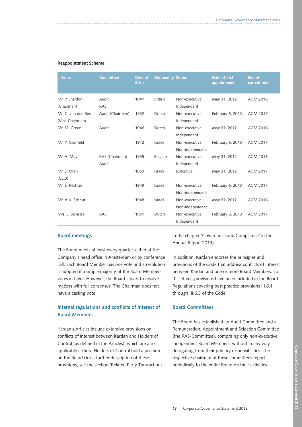#### **Reappointment Scheme**

| <b>Name</b>        | <b>Committee</b> | Date of<br><b>Birth</b> | <b>Nationality Status</b> |                 | Date of first<br>appointment | End of<br>current term |
|--------------------|------------------|-------------------------|---------------------------|-----------------|------------------------------|------------------------|
| Mr. P. Sheldon     | Audit            | 1941                    | <b>British</b>            | Non-executive   | May 31, 2012                 | AGM 2016               |
| (Chairman)         | <b>RAS</b>       |                         |                           | Independent     |                              |                        |
| Mr. C. van den Bos | Audit (Chairman) | 1952                    | Dutch                     | Non-executive   | February 6, 2013             | AGM 2017               |
| (Vice-Chairman)    |                  |                         |                           | Independent     |                              |                        |
| Mr. M. Groen       | Audit            | 1946                    | Dutch                     | Non-executive   | May 31, 2012                 | AGM 2016               |
|                    |                  |                         |                           | Independent     |                              |                        |
| Mr. Y. Grunfeld    |                  | 1942                    | Israeli                   | Non-executive   | February 6, 2013             | AGM 2017               |
|                    |                  |                         |                           | Non-independent |                              |                        |
| Mr. A. May         | RAS (Chairman)   | 1955                    | Belgian                   | Non-executive   | May 31, 2012                 | AGM 2016               |
|                    | Audit            |                         |                           | Independent     |                              |                        |
| Mr. S. Oren        |                  | 1959                    | Israeli                   | Executive       | May 31, 2012                 | <b>AGM 2017</b>        |
| (CEO)              |                  |                         |                           |                 |                              |                        |
| Mr. E. Rechter     |                  | 1949                    | Israeli                   | Non-executive   | February 6, 2013             | <b>AGM 2017</b>        |
|                    |                  |                         |                           | Non-independent |                              |                        |
| Mr. A.A. Schnur    |                  | 1948                    | Israeli                   | Non-executive   | May 31, 2012                 | AGM 2016               |
|                    |                  |                         |                           | Non-independent |                              |                        |
| Mrs. E. Seinstra   | <b>RAS</b>       | 1951                    | Dutch                     | Non-executive   | February 6, 2013             | <b>AGM 2017</b>        |
|                    |                  |                         |                           | Independent     |                              |                        |

## **Board meetings**

The Board meets at least every quarter, either at the Company's head office in Amsterdam or by conference call. Each Board Member has one vote and a resolution is adopted if a simple majority of the Board Members votes in favor. However, the Board strives to resolve matters with full consensus. The Chairman does not have a casting vote.

## **Internal regulations and conflicts of interest of Board Members**

Kardan's Articles include extensive provisions on conflicts of interest between Kardan and Holders of Control (as defined in the Articles), which are also applicable if these Holders of Control hold a position on the Board (for a further description of these provisions, see the section 'Related Party Transactions' in the chapter 'Governance and Compliance' in the Annual Report 2013).

In addition, Kardan endorses the principles and provisions of the Code that address conflicts of interest between Kardan and one or more Board Members. To this effect, provisions have been included in the Board Regulations covering best practice provisions III.6.1 through III.6.3 of the Code.

## **Board Committees**

The Board has established an Audit Committee and a Remuneration, Appointment and Selection Committee (the RAS-Committee), comprising only non-executive independent Board Members, without in any way derogating from their primary responsibilities. The respective chairmen of these committees report periodically to the entire Board on their activities.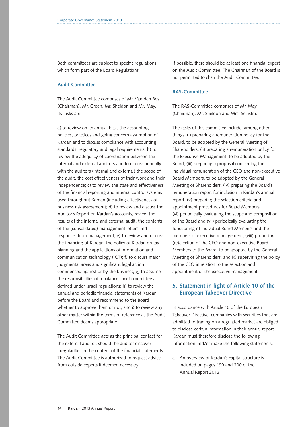Both committees are subject to specific regulations which form part of the Board Regulations.

## **Audit Committee**

The Audit Committee comprises of Mr. Van den Bos (Chairman), Mr. Groen, Mr. Sheldon and Mr. May. Its tasks are:

a) to review on an annual basis the accounting policies, practices and going concern assumption of Kardan and to discuss compliance with accounting standards, regulatory and legal requirements; b) to review the adequacy of coordination between the internal and external auditors and to discuss annually with the auditors (internal and external) the scope of the audit, the cost effectiveness of their work and their independence; c) to review the state and effectiveness of the financial reporting and internal control systems used throughout Kardan (including effectiveness of business risk assessment); d) to review and discuss the Auditor's Report on Kardan's accounts, review the results of the internal and external audit, the contents of the (consolidated) management letters and responses from management; e) to review and discuss the financing of Kardan, the policy of Kardan on tax planning and the applications of information and communication technology (ICT); f) to discuss major judgmental areas and significant legal action commenced against or by the business; g) to assume the responsibilities of a balance sheet committee as defined under Israeli regulations; h) to review the annual and periodic financial statements of Kardan before the Board and recommend to the Board whether to approve them or not; and i) to review any other matter within the terms of reference as the Audit Committee deems appropriate.

The Audit Committee acts as the principal contact for the external auditor, should the auditor discover irregularities in the content of the financial statements. The Audit Committee is authorized to request advice from outside experts if deemed necessary.

If possible, there should be at least one financial expert on the Audit Committee. The Chairman of the Board is not permitted to chair the Audit Committee.

## **RAS-Committee**

The RAS-Committee comprises of Mr. May (Chairman), Mr. Sheldon and Mrs. Seinstra.

The tasks of this committee include, among other things, (i) preparing a remuneration policy for the Board, to be adopted by the General Meeting of Shareholders, (ii) preparing a remuneration policy for the Executive Management, to be adopted by the Board, (iii) preparing a proposal concerning the individual remuneration of the CEO and non-executive Board Members, to be adopted by the General Meeting of Shareholders, (iv) preparing the Board's remuneration report for inclusion in Kardan's annual report, (v) preparing the selection criteria and appointment procedures for Board Members, (vi) periodically evaluating the scope and composition of the Board and (vii) periodically evaluating the functioning of individual Board Members and the members of executive management; (viii) proposing (re)election of the CEO and non-executive Board Members to the Board, to be adopted by the General Meeting of Shareholders; and ix) supervising the policy of the CEO in relation to the selection and appointment of the executive management.

## **5. Statement in light of Article 10 of the European Takeover Directive**

In accordance with Article 10 of the European Takeover Directive, companies with securities that are admitted to trading on a regulated market are obliged to disclose certain information in their annual report. Kardan must therefore disclose the following information and/or make the following statements:

a. An overview of Kardan's capital structure is included on pages 199 and 200 of the [Annual](http://phx.corporate-ir.net/External.File?item=UGFyZW50SUQ9MjI4NzM5fENoaWxkSUQ9LTF8VHlwZT0z&t=1) Report 2013.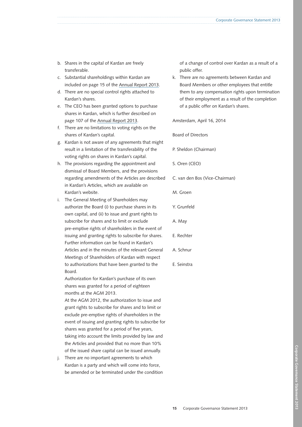- b. Shares in the capital of Kardan are freely transferable.
- c. Substantial shareholdings within Kardan are included on page 15 of the [Annual Report 2013](http://phx.corporate-ir.net/External.File?item=UGFyZW50SUQ9MjI4NzM5fENoaWxkSUQ9LTF8VHlwZT0z&t=1).
- d. There are no special control rights attached to Kardan's shares.
- e. The CEO has been granted options to purchase shares in Kardan, which is further described on page 107 of the [Annual Report 2013.](http://phx.corporate-ir.net/External.File?item=UGFyZW50SUQ9MjI4NzM5fENoaWxkSUQ9LTF8VHlwZT0z&t=1)
- f. There are no limitations to voting rights on the shares of Kardan's capital.
- g. Kardan is not aware of any agreements that might result in a limitation of the transferability of the voting rights on shares in Kardan's capital.
- h. The provisions regarding the appointment and dismissal of Board Members, and the provisions regarding amendments of the Articles are described in Kardan's Articles, which are available on Kardan's website.
- i. The General Meeting of Shareholders may authorize the Board (i) to purchase shares in its own capital, and (ii) to issue and grant rights to subscribe for shares and to limit or exclude pre-emptive rights of shareholders in the event of issuing and granting rights to subscribe for shares. Further information can be found in Kardan's Articles and in the minutes of the relevant General Meetings of Shareholders of Kardan with respect to authorizations that have been granted to the Board.

Authorization for Kardan's purchase of its own shares was granted for a period of eighteen months at the AGM 2013.

At the AGM 2012, the authorization to issue and grant rights to subscribe for shares and to limit or exclude pre-emptive rights of shareholders in the event of issuing and granting rights to subscribe for shares was granted for a period of five years, taking into account the limits provided by law and the Articles and provided that no more than 10% of the issued share capital can be issued annually.

j. There are no important agreements to which Kardan is a party and which will come into force, be amended or be terminated under the condition of a change of control over Kardan as a result of a public offer.

k. There are no agreements between Kardan and Board Members or other employees that entitle them to any compensation rights upon termination of their employment as a result of the completion of a public offer on Kardan's shares.

Amsterdam, April 16, 2014

Board of Directors

P. Sheldon (Chairman)

S. Oren (CEO)

C. van den Bos (Vice-Chairman)

M. Groen

- Y. Grunfeld
- A. May
- E. Rechter
- A. Schnur
- E. Seinstra